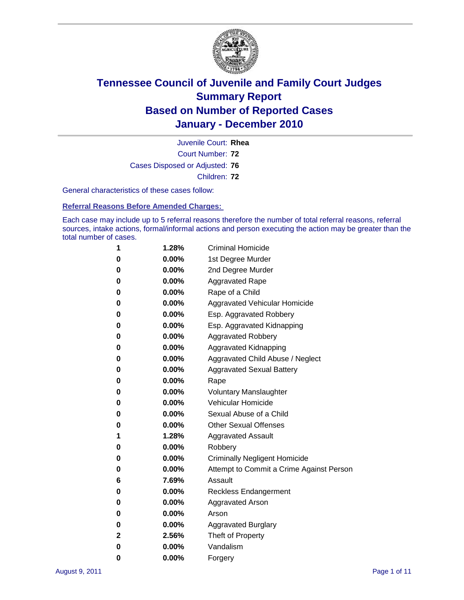

Court Number: **72** Juvenile Court: **Rhea** Cases Disposed or Adjusted: **76** Children: **72**

General characteristics of these cases follow:

**Referral Reasons Before Amended Charges:** 

Each case may include up to 5 referral reasons therefore the number of total referral reasons, referral sources, intake actions, formal/informal actions and person executing the action may be greater than the total number of cases.

| 1 | 1.28%    | <b>Criminal Homicide</b>                 |
|---|----------|------------------------------------------|
| 0 | $0.00\%$ | 1st Degree Murder                        |
| 0 | $0.00\%$ | 2nd Degree Murder                        |
| 0 | $0.00\%$ | <b>Aggravated Rape</b>                   |
| 0 | $0.00\%$ | Rape of a Child                          |
| 0 | $0.00\%$ | Aggravated Vehicular Homicide            |
| 0 | $0.00\%$ | Esp. Aggravated Robbery                  |
| 0 | $0.00\%$ | Esp. Aggravated Kidnapping               |
| 0 | $0.00\%$ | <b>Aggravated Robbery</b>                |
| 0 | $0.00\%$ | Aggravated Kidnapping                    |
| 0 | $0.00\%$ | Aggravated Child Abuse / Neglect         |
| 0 | $0.00\%$ | <b>Aggravated Sexual Battery</b>         |
| 0 | 0.00%    | Rape                                     |
| 0 | $0.00\%$ | <b>Voluntary Manslaughter</b>            |
| 0 | $0.00\%$ | Vehicular Homicide                       |
| 0 | $0.00\%$ | Sexual Abuse of a Child                  |
| 0 | $0.00\%$ | <b>Other Sexual Offenses</b>             |
| 1 | 1.28%    | <b>Aggravated Assault</b>                |
| 0 | $0.00\%$ | Robbery                                  |
| 0 | $0.00\%$ | <b>Criminally Negligent Homicide</b>     |
| 0 | $0.00\%$ | Attempt to Commit a Crime Against Person |
| 6 | 7.69%    | Assault                                  |
| 0 | $0.00\%$ | <b>Reckless Endangerment</b>             |
| 0 | $0.00\%$ | <b>Aggravated Arson</b>                  |
| 0 | $0.00\%$ | Arson                                    |
| 0 | $0.00\%$ | <b>Aggravated Burglary</b>               |
| 2 | 2.56%    | Theft of Property                        |
| 0 | $0.00\%$ | Vandalism                                |
| 0 | 0.00%    | Forgery                                  |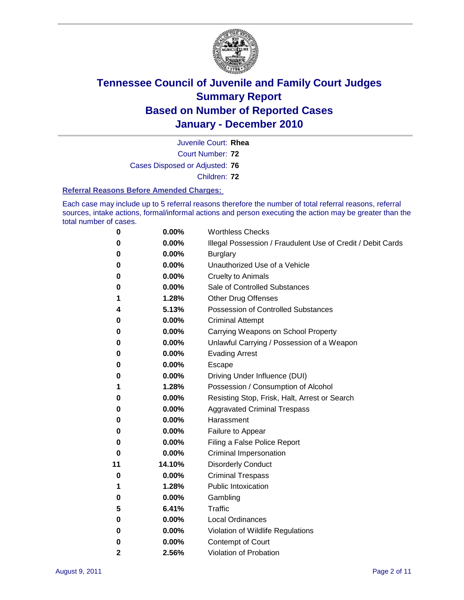

Court Number: **72** Juvenile Court: **Rhea**

Cases Disposed or Adjusted: **76**

Children: **72**

### **Referral Reasons Before Amended Charges:**

Each case may include up to 5 referral reasons therefore the number of total referral reasons, referral sources, intake actions, formal/informal actions and person executing the action may be greater than the total number of cases.

| 0            | 0.00%  | <b>Worthless Checks</b>                                     |  |  |  |
|--------------|--------|-------------------------------------------------------------|--|--|--|
| 0            | 0.00%  | Illegal Possession / Fraudulent Use of Credit / Debit Cards |  |  |  |
| 0            | 0.00%  | <b>Burglary</b>                                             |  |  |  |
| 0            | 0.00%  | Unauthorized Use of a Vehicle                               |  |  |  |
| 0            | 0.00%  | <b>Cruelty to Animals</b>                                   |  |  |  |
| 0            | 0.00%  | Sale of Controlled Substances                               |  |  |  |
| 1            | 1.28%  | <b>Other Drug Offenses</b>                                  |  |  |  |
| 4            | 5.13%  | <b>Possession of Controlled Substances</b>                  |  |  |  |
| 0            | 0.00%  | <b>Criminal Attempt</b>                                     |  |  |  |
| 0            | 0.00%  | Carrying Weapons on School Property                         |  |  |  |
| 0            | 0.00%  | Unlawful Carrying / Possession of a Weapon                  |  |  |  |
| 0            | 0.00%  | <b>Evading Arrest</b>                                       |  |  |  |
| 0            | 0.00%  | Escape                                                      |  |  |  |
| 0            | 0.00%  | Driving Under Influence (DUI)                               |  |  |  |
| 1            | 1.28%  | Possession / Consumption of Alcohol                         |  |  |  |
| 0            | 0.00%  | Resisting Stop, Frisk, Halt, Arrest or Search               |  |  |  |
| 0            | 0.00%  | <b>Aggravated Criminal Trespass</b>                         |  |  |  |
| 0            | 0.00%  | Harassment                                                  |  |  |  |
| 0            | 0.00%  | Failure to Appear                                           |  |  |  |
| 0            | 0.00%  | Filing a False Police Report                                |  |  |  |
| 0            | 0.00%  | Criminal Impersonation                                      |  |  |  |
| 11           | 14.10% | <b>Disorderly Conduct</b>                                   |  |  |  |
| 0            | 0.00%  | <b>Criminal Trespass</b>                                    |  |  |  |
| 1            | 1.28%  | <b>Public Intoxication</b>                                  |  |  |  |
| 0            | 0.00%  | Gambling                                                    |  |  |  |
| 5            | 6.41%  | <b>Traffic</b>                                              |  |  |  |
| 0            | 0.00%  | <b>Local Ordinances</b>                                     |  |  |  |
| 0            | 0.00%  | Violation of Wildlife Regulations                           |  |  |  |
| 0            | 0.00%  | Contempt of Court                                           |  |  |  |
| $\mathbf{2}$ | 2.56%  | Violation of Probation                                      |  |  |  |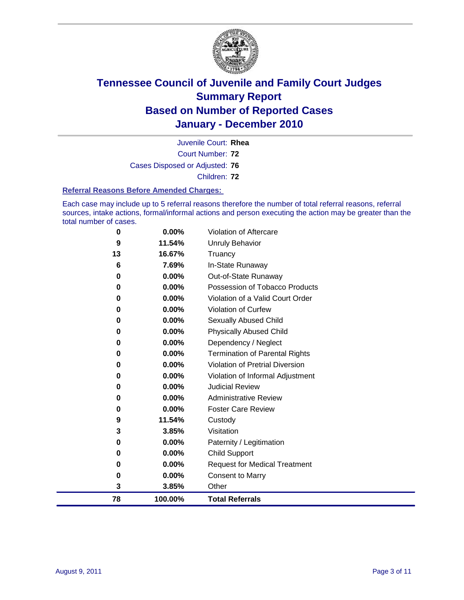

Court Number: **72** Juvenile Court: **Rhea** Cases Disposed or Adjusted: **76** Children: **72**

#### **Referral Reasons Before Amended Charges:**

Each case may include up to 5 referral reasons therefore the number of total referral reasons, referral sources, intake actions, formal/informal actions and person executing the action may be greater than the total number of cases.

| 78       | 100.00% | <b>Total Referrals</b>                 |
|----------|---------|----------------------------------------|
| 3        | 3.85%   | Other                                  |
| 0        | 0.00%   | <b>Consent to Marry</b>                |
| 0        | 0.00%   | <b>Request for Medical Treatment</b>   |
| 0        | 0.00%   | <b>Child Support</b>                   |
| 0        | 0.00%   | Paternity / Legitimation               |
| 3        | 3.85%   | Visitation                             |
| 9        | 11.54%  | Custody                                |
| 0        | 0.00%   | <b>Foster Care Review</b>              |
| 0        | 0.00%   | <b>Administrative Review</b>           |
| 0        | 0.00%   | <b>Judicial Review</b>                 |
| 0        | 0.00%   | Violation of Informal Adjustment       |
| 0        | 0.00%   | <b>Violation of Pretrial Diversion</b> |
| 0        | 0.00%   | Termination of Parental Rights         |
| 0        | 0.00%   | Dependency / Neglect                   |
| 0        | 0.00%   | <b>Physically Abused Child</b>         |
| 0        | 0.00%   | Sexually Abused Child                  |
| 0        | 0.00%   | Violation of Curfew                    |
| 0        | 0.00%   | Violation of a Valid Court Order       |
| $\bf{0}$ | 0.00%   | Possession of Tobacco Products         |
| 0        | 0.00%   | Out-of-State Runaway                   |
| 6        | 7.69%   | In-State Runaway                       |
| 13       | 16.67%  | Truancy                                |
| 9        | 11.54%  | <b>Unruly Behavior</b>                 |
| 0        | 0.00%   | Violation of Aftercare                 |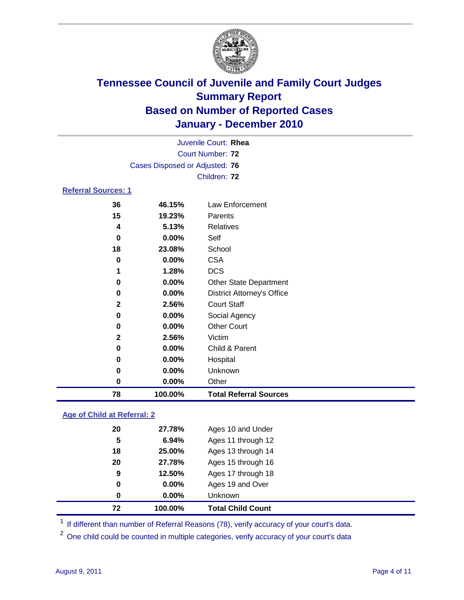

| 0            | 0.00%   | <b>CSA</b>                        |
|--------------|---------|-----------------------------------|
| 1            | 1.28%   | <b>DCS</b>                        |
| 0            | 0.00%   |                                   |
|              |         | <b>Other State Department</b>     |
| 0            | 0.00%   | <b>District Attorney's Office</b> |
| $\mathbf{2}$ | 2.56%   | <b>Court Staff</b>                |
| 0            | 0.00%   | Social Agency                     |
| $\bf{0}$     | 0.00%   | <b>Other Court</b>                |
| $\mathbf{2}$ | 2.56%   | Victim                            |
|              |         |                                   |
| $\bf{0}$     | 0.00%   | Child & Parent                    |
| 0            | 0.00%   | Hospital                          |
| 0            | 0.00%   | Unknown                           |
| 0            | 0.00%   | Other                             |
| 78           | 100.00% | <b>Total Referral Sources</b>     |

### **Age of Child at Referral: 2**

| $\bf{0}$<br>0 | $0.00\%$<br>$0.00\%$ | Ages 19 and Over<br><b>Unknown</b> |
|---------------|----------------------|------------------------------------|
|               |                      |                                    |
|               |                      |                                    |
|               |                      | Ages 17 through 18                 |
| 20            | 27.78%               | Ages 15 through 16                 |
| 18            | 25.00%               | Ages 13 through 14                 |
| 5             | 6.94%                | Ages 11 through 12                 |
| 20            | 27.78%               | Ages 10 and Under                  |
|               |                      | 9<br>12.50%                        |

<sup>1</sup> If different than number of Referral Reasons (78), verify accuracy of your court's data.

<sup>2</sup> One child could be counted in multiple categories, verify accuracy of your court's data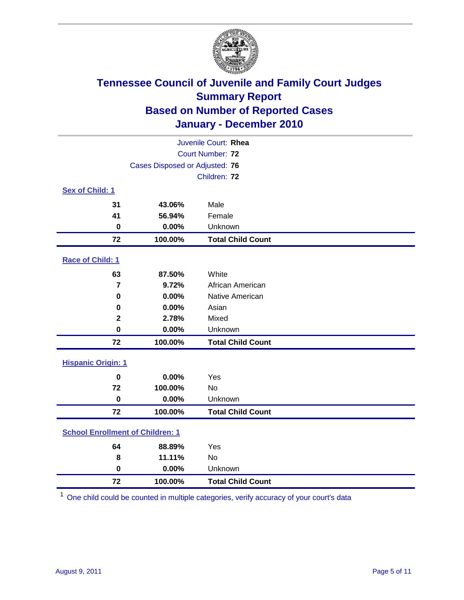

| Juvenile Court: Rhea                    |                                |                          |  |  |  |
|-----------------------------------------|--------------------------------|--------------------------|--|--|--|
| <b>Court Number: 72</b>                 |                                |                          |  |  |  |
|                                         | Cases Disposed or Adjusted: 76 |                          |  |  |  |
|                                         |                                | Children: 72             |  |  |  |
| Sex of Child: 1                         |                                |                          |  |  |  |
| 31                                      | 43.06%                         | Male                     |  |  |  |
| 41                                      | 56.94%                         | Female                   |  |  |  |
| $\mathbf 0$                             | 0.00%                          | Unknown                  |  |  |  |
| 72                                      | 100.00%                        | <b>Total Child Count</b> |  |  |  |
| Race of Child: 1                        |                                |                          |  |  |  |
| 63                                      | 87.50%                         | White                    |  |  |  |
| $\overline{\mathbf{r}}$                 | 9.72%                          | African American         |  |  |  |
| $\mathbf 0$                             | 0.00%                          | Native American          |  |  |  |
| 0                                       | 0.00%                          | Asian                    |  |  |  |
| $\mathbf{2}$                            | 2.78%                          | Mixed                    |  |  |  |
| $\mathbf 0$                             | 0.00%                          | Unknown                  |  |  |  |
| 72                                      | 100.00%                        | <b>Total Child Count</b> |  |  |  |
| <b>Hispanic Origin: 1</b>               |                                |                          |  |  |  |
| $\mathbf 0$                             | 0.00%                          | Yes                      |  |  |  |
| 72                                      | 100.00%                        | No                       |  |  |  |
| $\bf{0}$                                | 0.00%                          | Unknown                  |  |  |  |
| 72                                      | 100.00%                        | <b>Total Child Count</b> |  |  |  |
| <b>School Enrollment of Children: 1</b> |                                |                          |  |  |  |
| 64                                      | 88.89%                         | Yes                      |  |  |  |
| 8                                       | 11.11%                         | No                       |  |  |  |
| $\mathbf 0$                             | 0.00%                          | Unknown                  |  |  |  |
| 72                                      | 100.00%                        | <b>Total Child Count</b> |  |  |  |

One child could be counted in multiple categories, verify accuracy of your court's data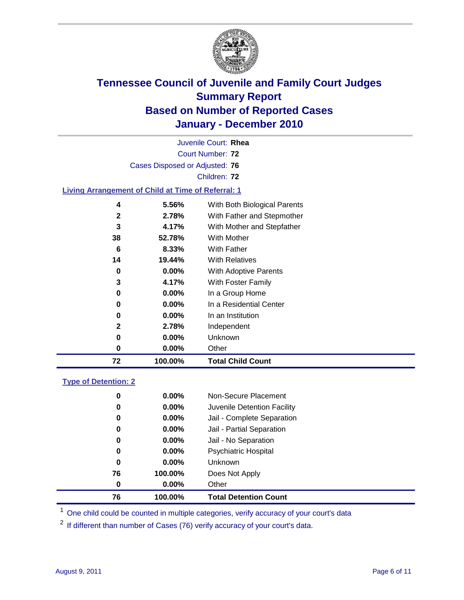

| Juvenile Court: Rhea                                      |              |                              |  |  |  |  |  |
|-----------------------------------------------------------|--------------|------------------------------|--|--|--|--|--|
| Court Number: 72                                          |              |                              |  |  |  |  |  |
| Cases Disposed or Adjusted: 76                            |              |                              |  |  |  |  |  |
|                                                           | Children: 72 |                              |  |  |  |  |  |
| <b>Living Arrangement of Child at Time of Referral: 1</b> |              |                              |  |  |  |  |  |
| 4                                                         | 5.56%        | With Both Biological Parents |  |  |  |  |  |
| 2                                                         | 2.78%        | With Father and Stepmother   |  |  |  |  |  |
| 3                                                         | 4.17%        | With Mother and Stepfather   |  |  |  |  |  |
| 38                                                        | 52.78%       | With Mother                  |  |  |  |  |  |
| 6                                                         | 8.33%        | With Father                  |  |  |  |  |  |
| 14                                                        | 19.44%       | <b>With Relatives</b>        |  |  |  |  |  |
| 0                                                         | $0.00\%$     | With Adoptive Parents        |  |  |  |  |  |
| 3                                                         | 4.17%        | <b>With Foster Family</b>    |  |  |  |  |  |
| 0                                                         | $0.00\%$     | In a Group Home              |  |  |  |  |  |
| 0                                                         | $0.00\%$     | In a Residential Center      |  |  |  |  |  |

| 72 | 100.00%               | <b>Total Child Count</b> |
|----|-----------------------|--------------------------|
|    | $0.00\%$              | Other                    |
|    | $0.00\%$              | Unknown                  |
|    | 2.78%<br>$\mathbf{2}$ | Independent              |
|    | $0.00\%$              | In an Institution        |

### **Type of Detention: 2**

| 76 | 100.00%  | <b>Total Detention Count</b> |
|----|----------|------------------------------|
| 0  | $0.00\%$ | Other                        |
| 76 | 100.00%  | Does Not Apply               |
| 0  | $0.00\%$ | Unknown                      |
| 0  | $0.00\%$ | <b>Psychiatric Hospital</b>  |
| 0  | 0.00%    | Jail - No Separation         |
| 0  | $0.00\%$ | Jail - Partial Separation    |
| 0  | $0.00\%$ | Jail - Complete Separation   |
| 0  | 0.00%    | Juvenile Detention Facility  |
| 0  | $0.00\%$ | Non-Secure Placement         |
|    |          |                              |

<sup>1</sup> One child could be counted in multiple categories, verify accuracy of your court's data

<sup>2</sup> If different than number of Cases (76) verify accuracy of your court's data.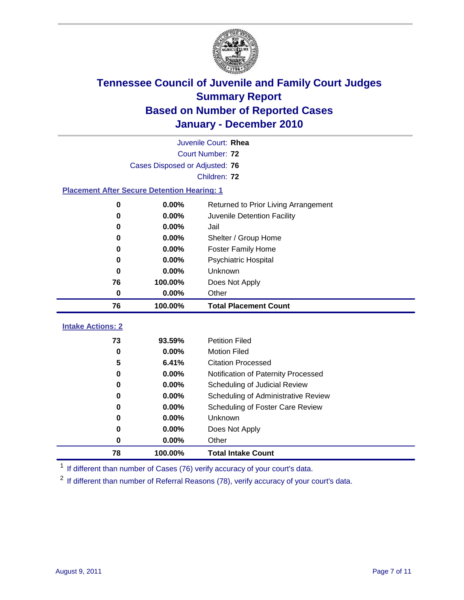

|                                                    | Juvenile Court: Rhea           |                                      |  |  |  |
|----------------------------------------------------|--------------------------------|--------------------------------------|--|--|--|
|                                                    | Court Number: 72               |                                      |  |  |  |
|                                                    | Cases Disposed or Adjusted: 76 |                                      |  |  |  |
|                                                    | Children: 72                   |                                      |  |  |  |
| <b>Placement After Secure Detention Hearing: 1</b> |                                |                                      |  |  |  |
| 0                                                  | 0.00%                          | Returned to Prior Living Arrangement |  |  |  |
| 0                                                  | 0.00%                          | Juvenile Detention Facility          |  |  |  |
| 0                                                  | 0.00%                          | Jail                                 |  |  |  |
| 0                                                  | 0.00%                          | Shelter / Group Home                 |  |  |  |
| 0                                                  | 0.00%                          | <b>Foster Family Home</b>            |  |  |  |
| 0                                                  | 0.00%                          | Psychiatric Hospital                 |  |  |  |
| $\bf{0}$                                           | 0.00%                          | Unknown                              |  |  |  |
| 76                                                 | 100.00%                        | Does Not Apply                       |  |  |  |
| $\pmb{0}$                                          | 0.00%                          | Other                                |  |  |  |
| 76                                                 | 100.00%                        | <b>Total Placement Count</b>         |  |  |  |
| <b>Intake Actions: 2</b>                           |                                |                                      |  |  |  |
| 73                                                 |                                |                                      |  |  |  |
|                                                    | 93.59%                         | <b>Petition Filed</b>                |  |  |  |
| $\bf{0}$                                           | 0.00%                          | <b>Motion Filed</b>                  |  |  |  |
| 5                                                  | 6.41%                          | <b>Citation Processed</b>            |  |  |  |
| 0                                                  | 0.00%                          | Notification of Paternity Processed  |  |  |  |
| 0                                                  | 0.00%                          | Scheduling of Judicial Review        |  |  |  |
| 0                                                  | 0.00%                          | Scheduling of Administrative Review  |  |  |  |
| 0                                                  | 0.00%                          | Scheduling of Foster Care Review     |  |  |  |
| 0                                                  | 0.00%                          | Unknown                              |  |  |  |
| 0                                                  | 0.00%                          | Does Not Apply                       |  |  |  |
| 0                                                  | 0.00%                          | Other                                |  |  |  |

<sup>1</sup> If different than number of Cases (76) verify accuracy of your court's data.

<sup>2</sup> If different than number of Referral Reasons (78), verify accuracy of your court's data.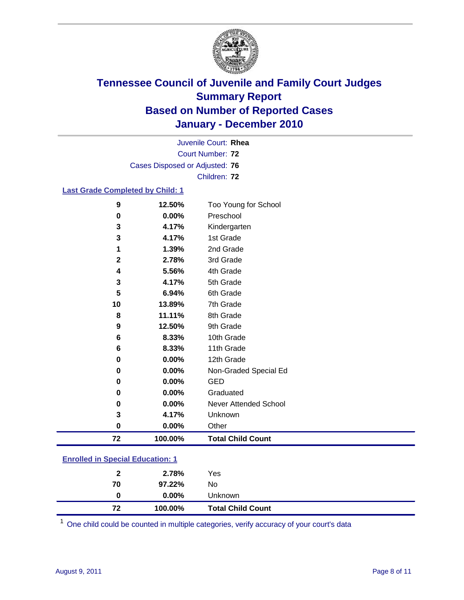

Court Number: **72** Juvenile Court: **Rhea** Cases Disposed or Adjusted: **76** Children: **72**

### **Last Grade Completed by Child: 1**

| 9                                       | 12.50%  | Too Young for School         |  |  |
|-----------------------------------------|---------|------------------------------|--|--|
| $\bf{0}$                                | 0.00%   | Preschool                    |  |  |
| 3                                       | 4.17%   | Kindergarten                 |  |  |
| 3                                       | 4.17%   | 1st Grade                    |  |  |
| 1                                       | 1.39%   | 2nd Grade                    |  |  |
| $\mathbf{2}$                            | 2.78%   | 3rd Grade                    |  |  |
| 4                                       | 5.56%   | 4th Grade                    |  |  |
| 3                                       | 4.17%   | 5th Grade                    |  |  |
| 5                                       | 6.94%   | 6th Grade                    |  |  |
| 10                                      | 13.89%  | 7th Grade                    |  |  |
| 8                                       | 11.11%  | 8th Grade                    |  |  |
| 9                                       | 12.50%  | 9th Grade                    |  |  |
| $\bf 6$                                 | 8.33%   | 10th Grade                   |  |  |
| $\bf 6$                                 | 8.33%   | 11th Grade                   |  |  |
| $\bf{0}$                                | 0.00%   | 12th Grade                   |  |  |
| 0                                       | 0.00%   | Non-Graded Special Ed        |  |  |
| $\bf{0}$                                | 0.00%   | <b>GED</b>                   |  |  |
| $\bf{0}$                                | 0.00%   | Graduated                    |  |  |
| 0                                       | 0.00%   | <b>Never Attended School</b> |  |  |
| 3                                       | 4.17%   | Unknown                      |  |  |
| $\bf{0}$                                | 0.00%   | Other                        |  |  |
| 72                                      | 100.00% | <b>Total Child Count</b>     |  |  |
| <b>Enrolled in Special Education: 1</b> |         |                              |  |  |

| 72           | 100.00%  | <b>Total Child Count</b> |  |  |
|--------------|----------|--------------------------|--|--|
| 0            | $0.00\%$ | <b>Unknown</b>           |  |  |
| 70           | 97.22%   | No                       |  |  |
| $\mathbf{2}$ | 2.78%    | Yes                      |  |  |
|              |          |                          |  |  |

One child could be counted in multiple categories, verify accuracy of your court's data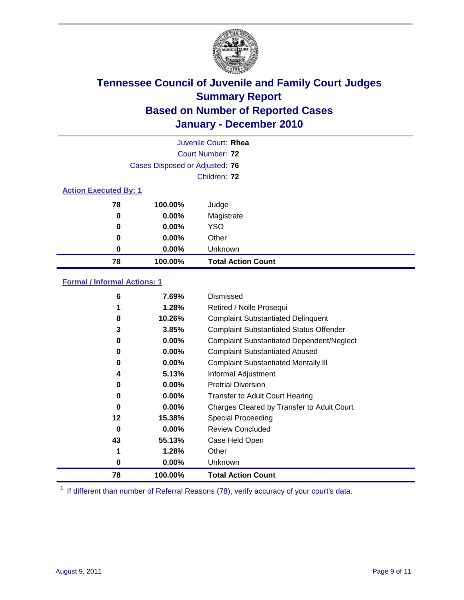

|                              |                                | Juvenile Court: Rhea      |
|------------------------------|--------------------------------|---------------------------|
|                              |                                | Court Number: 72          |
|                              | Cases Disposed or Adjusted: 76 |                           |
|                              |                                | Children: 72              |
| <b>Action Executed By: 1</b> |                                |                           |
| 78                           | 100.00%                        | Judge                     |
| 0                            | $0.00\%$                       | Magistrate                |
| 0                            | $0.00\%$                       | YSO                       |
| 0                            | $0.00\%$                       | Other                     |
| 0                            | $0.00\%$                       | Unknown                   |
| 78                           | 100.00%                        | <b>Total Action Count</b> |

### **Formal / Informal Actions: 1**

| 6        | 7.69%    | Dismissed                                        |
|----------|----------|--------------------------------------------------|
| 1        | 1.28%    | Retired / Nolle Prosequi                         |
| 8        | 10.26%   | <b>Complaint Substantiated Delinquent</b>        |
| 3        | 3.85%    | <b>Complaint Substantiated Status Offender</b>   |
| 0        | $0.00\%$ | <b>Complaint Substantiated Dependent/Neglect</b> |
| 0        | $0.00\%$ | <b>Complaint Substantiated Abused</b>            |
| 0        | $0.00\%$ | <b>Complaint Substantiated Mentally III</b>      |
| 4        | 5.13%    | Informal Adjustment                              |
| 0        | $0.00\%$ | <b>Pretrial Diversion</b>                        |
| 0        | $0.00\%$ | <b>Transfer to Adult Court Hearing</b>           |
| 0        | $0.00\%$ | Charges Cleared by Transfer to Adult Court       |
| 12       | 15.38%   | Special Proceeding                               |
| $\bf{0}$ | $0.00\%$ | <b>Review Concluded</b>                          |
| 43       | 55.13%   | Case Held Open                                   |
| 1        | 1.28%    | Other                                            |
| 0        | $0.00\%$ | <b>Unknown</b>                                   |
| 78       | 100.00%  | <b>Total Action Count</b>                        |

<sup>1</sup> If different than number of Referral Reasons (78), verify accuracy of your court's data.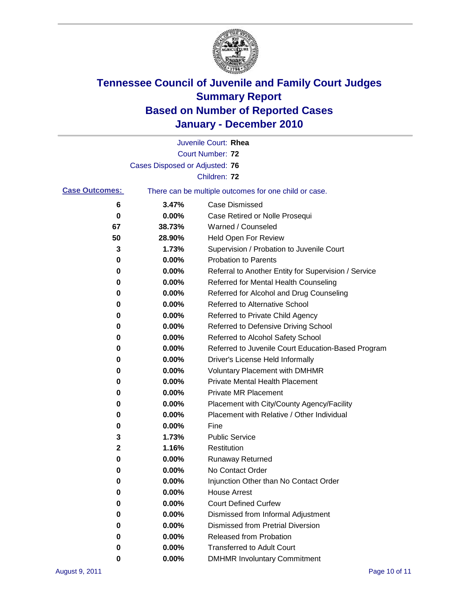

|                       |                                | Juvenile Court: Rhea                                  |
|-----------------------|--------------------------------|-------------------------------------------------------|
|                       |                                | Court Number: 72                                      |
|                       | Cases Disposed or Adjusted: 76 |                                                       |
|                       |                                | Children: 72                                          |
| <b>Case Outcomes:</b> |                                | There can be multiple outcomes for one child or case. |
| 6                     | 3.47%                          | <b>Case Dismissed</b>                                 |
| 0                     | 0.00%                          | Case Retired or Nolle Prosequi                        |
| 67                    | 38.73%                         | Warned / Counseled                                    |
| 50                    | 28.90%                         | <b>Held Open For Review</b>                           |
| 3                     | 1.73%                          | Supervision / Probation to Juvenile Court             |
| 0                     | 0.00%                          | <b>Probation to Parents</b>                           |
| 0                     | 0.00%                          | Referral to Another Entity for Supervision / Service  |
| 0                     | 0.00%                          | Referred for Mental Health Counseling                 |
| 0                     | 0.00%                          | Referred for Alcohol and Drug Counseling              |
| 0                     | 0.00%                          | Referred to Alternative School                        |
| 0                     | 0.00%                          | Referred to Private Child Agency                      |
| 0                     | 0.00%                          | Referred to Defensive Driving School                  |
| 0                     | 0.00%                          | Referred to Alcohol Safety School                     |
| 0                     | 0.00%                          | Referred to Juvenile Court Education-Based Program    |
| 0                     | 0.00%                          | Driver's License Held Informally                      |
| 0                     | 0.00%                          | Voluntary Placement with DMHMR                        |
| 0                     | 0.00%                          | <b>Private Mental Health Placement</b>                |
| 0                     | 0.00%                          | <b>Private MR Placement</b>                           |
| 0                     | 0.00%                          | Placement with City/County Agency/Facility            |
| 0                     | 0.00%                          | Placement with Relative / Other Individual            |
| 0                     | 0.00%                          | Fine                                                  |
| 3                     | 1.73%                          | <b>Public Service</b>                                 |
| $\mathbf 2$           | 1.16%                          | Restitution                                           |
| 0                     | 0.00%                          | <b>Runaway Returned</b>                               |
| 0                     | 0.00%                          | No Contact Order                                      |
| 0                     | 0.00%                          | Injunction Other than No Contact Order                |
| 0                     | 0.00%                          | <b>House Arrest</b>                                   |
| 0                     | 0.00%                          | <b>Court Defined Curfew</b>                           |
| 0                     | 0.00%                          | Dismissed from Informal Adjustment                    |
| 0                     | 0.00%                          | <b>Dismissed from Pretrial Diversion</b>              |
| 0                     | 0.00%                          | Released from Probation                               |
| 0                     | 0.00%                          | <b>Transferred to Adult Court</b>                     |
| 0                     | 0.00%                          | <b>DMHMR Involuntary Commitment</b>                   |